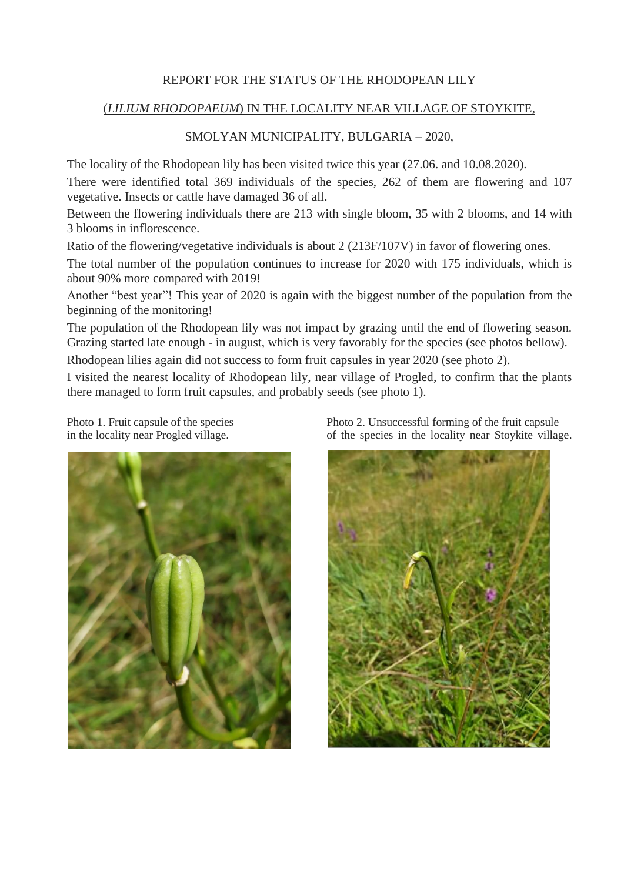## REPORT FOR THE STATUS OF THE RHODOPEAN LILY

## (*LILIUM RHODOPAEUM*) IN THE LOCALITY NEAR VILLAGE OF STOYKITE,

## SMOLYAN MUNICIPALITY, BULGARIA – 2020,

The locality of the Rhodopean lily has been visited twice this year (27.06. and 10.08.2020).

There were identified total 369 individuals of the species, 262 of them are flowering and 107 vegetative. Insects or cattle have damaged 36 of all.

Between the flowering individuals there are 213 with single bloom, 35 with 2 blooms, and 14 with 3 blooms in inflorescence.

Ratio of the flowering/vegetative individuals is about 2 (213F/107V) in favor of flowering ones.

The total number of the population continues to increase for 2020 with 175 individuals, which is about 90% more compared with 2019!

Another "best year"! This year of 2020 is again with the biggest number of the population from the beginning of the monitoring!

The population of the Rhodopean lily was not impact by grazing until the end of flowering season. Grazing started late enough - in august, which is very favorably for the species (see photos bellow).

Rhodopean lilies again did not success to form fruit capsules in year 2020 (see photo 2).

I visited the nearest locality of Rhodopean lily, near village of Progled, to confirm that the plants there managed to form fruit capsules, and probably seeds (see photo 1).



Photo 1. Fruit capsule of the species Photo 2. Unsuccessful forming of the fruit capsule in the locality near Progled village.  $\qquad \qquad$  of the species in the locality near Stoykite village.

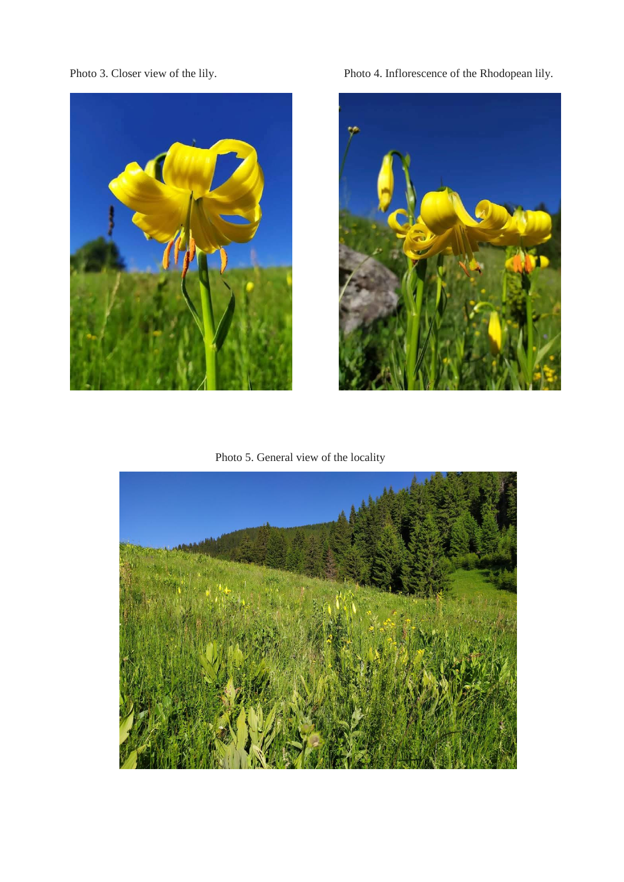

Photo 3. Closer view of the lily. Photo 4. Inflorescence of the Rhodopean lily.



Photo 5. General view of the locality